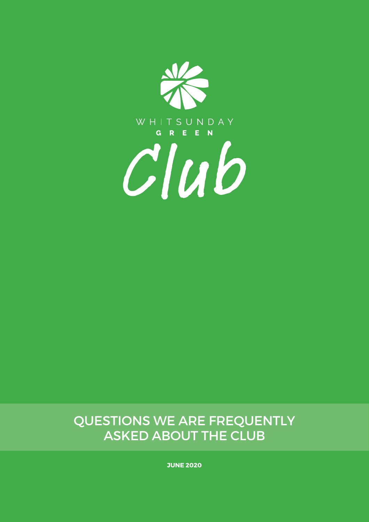

### Questions we are frequently asked about the Club

**June 2020**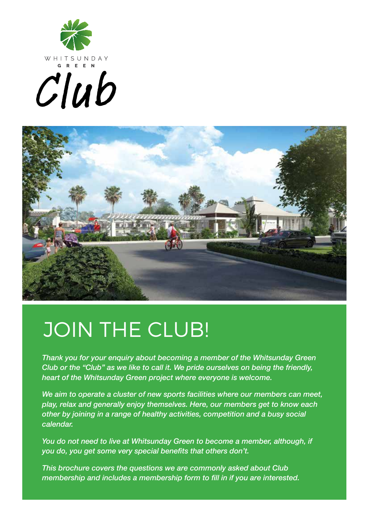





## JOIN THE CLUB!

*Thank you for your enquiry about becoming a member of the Whitsunday Green Club or the "Club" as we like to call it. We pride ourselves on being the friendly, heart of the Whitsunday Green project where everyone is welcome.*

*We aim to operate a cluster of new sports facilities where our members can meet, play, relax and generally enjoy themselves. Here, our members get to know each other by joining in a range of healthy activities, competition and a busy social calendar.*

*You do not need to live at Whitsunday Green to become a member, although, if you do, you get some very special benefits that others don't.* 

*This brochure covers the questions we are commonly asked about Club membership and includes a membership form to fill in if you are interested.*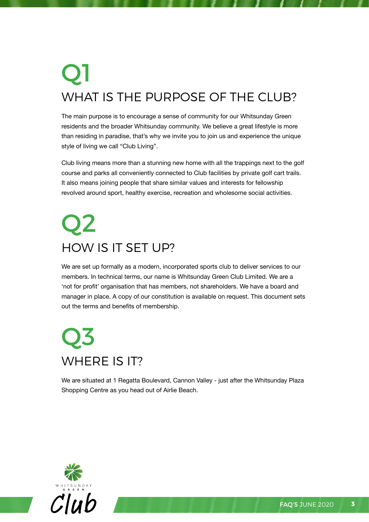## Q1 WHAT IS THE PURPOSE OF THE CLUB?

The main purpose is to encourage a sense of community for our Whitsunday Green residents and the broader Whitsunday community. We believe a great lifestyle is more than residing in paradise, that's why we invite you to join us and experience the unique style of living we call "Club Living".

Club living means more than a stunning new home with all the trappings next to the golf course and parks all conveniently connected to Club facilities by private golf cart trails. It also means joining people that share similar values and interests for fellowship revolved around sport, healthy exercise, recreation and wholesome social activities.

### Q2 How is it set up?

We are set up formally as a modern, incorporated sports club to deliver services to our members. In technical terms, our name is Whitsunday Green Club Limited. We are a 'not for profit' organisation that has members, not shareholders. We have a board and manager in place. A copy of our constitution is available on request. This document sets out the terms and benefits of membership.

### Q3 WHERE IS IT?

We are situated at 1 Regatta Boulevard, Cannon Valley - just after the Whitsunday Plaza Shopping Centre as you head out of Airlie Beach.

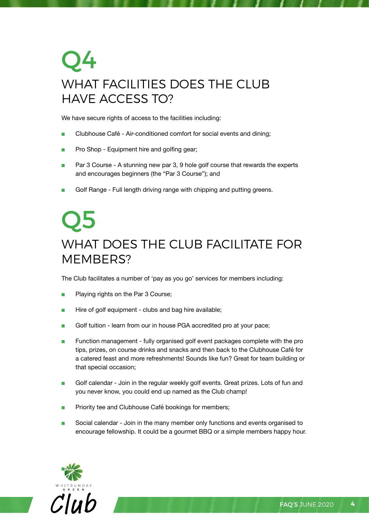### Q4 WHAT FACILITIES DOES THE CLUB Have access to?

We have secure rights of access to the facilities including:

- Clubhouse Café Air-conditioned comfort for social events and dining;
- Pro Shop Equipment hire and golfing gear;
- Par 3 Course A stunning new par 3, 9 hole golf course that rewards the experts and encourages beginners (the "Par 3 Course"); and
- Golf Range Full length driving range with chipping and putting greens.

### Q5 What does the Club facilitate for MFMRFRS?

The Club facilitates a number of 'pay as you go' services for members including:

- Playing rights on the Par 3 Course;
- Hire of golf equipment clubs and bag hire available;
- Golf tuition learn from our in house PGA accredited pro at your pace;
- Function management fully organised golf event packages complete with the pro tips, prizes, on course drinks and snacks and then back to the Clubhouse Café for a catered feast and more refreshments! Sounds like fun? Great for team building or that special occasion;
- Golf calendar Join in the regular weekly golf events. Great prizes. Lots of fun and you never know, you could end up named as the Club champ!
- Priority tee and Clubhouse Café bookings for members;
- Social calendar Join in the many member only functions and events organised to encourage fellowship. It could be a gourmet BBQ or a simple members happy hour.

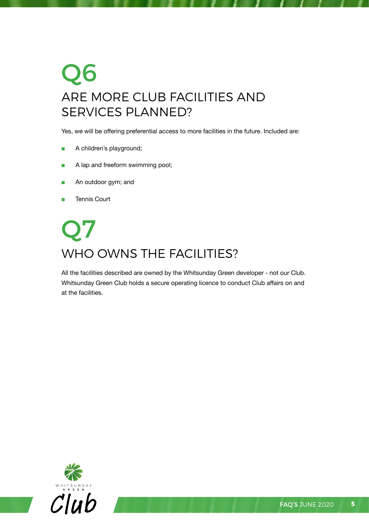### Q6 Are more Club facilities and services planned?

Yes, we will be offering preferential access to more facilities in the future. Included are:

- A children's playground;
- A lap and freeform swimming pool;
- An outdoor gym; and
- Tennis Court

### Q7 WHO OWNS THE FACILITIES?

All the facilities described are owned by the Whitsunday Green developer - not our Club. Whitsunday Green Club holds a secure operating licence to conduct Club affairs on and at the facilities.

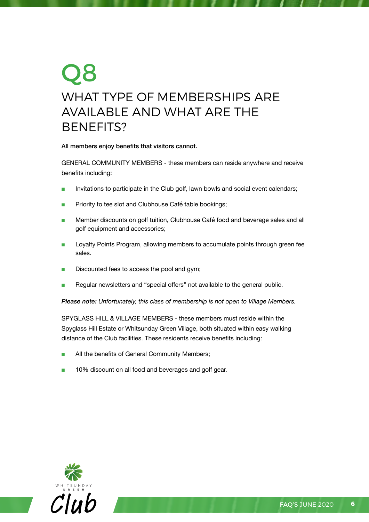### Q8 What type of Memberships are available and what are the **BENEFITS?**

#### All members enjoy benefits that visitors cannot.

GENERAL COMMUNITY MEMBERS - these members can reside anywhere and receive benefits including:

- Invitations to participate in the Club golf, lawn bowls and social event calendars;
- Priority to tee slot and Clubhouse Café table bookings;
- Member discounts on golf tuition, Clubhouse Café food and beverage sales and all golf equipment and accessories;
- Loyalty Points Program, allowing members to accumulate points through green fee sales.
- Discounted fees to access the pool and gym;
- Regular newsletters and "special offers" not available to the general public.

*Please note: Unfortunately, this class of membership is not open to Village Members.*

Spyglass Hill & Village Members - these members must reside within the Spyglass Hill Estate or Whitsunday Green Village, both situated within easy walking distance of the Club facilities. These residents receive benefits including:

- All the benefits of General Community Members;
- 10% discount on all food and beverages and golf gear.

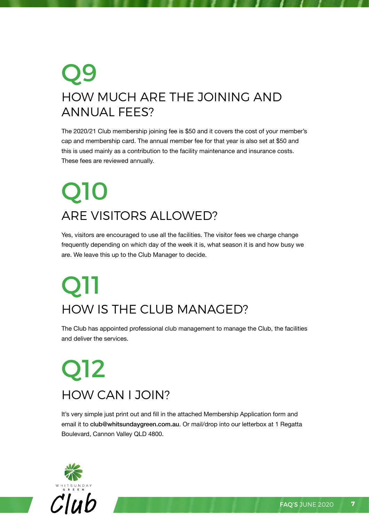### Q9 HOW MUCH ARE the joining and annual fees?

The 2020/21 Club membership joining fee is \$50 and it covers the cost of your member's cap and membership card. The annual member fee for that year is also set at \$50 and this is used mainly as a contribution to the facility maintenance and insurance costs. These fees are reviewed annually.

## Q10 Are visitors allowed?

Yes, visitors are encouraged to use all the facilities. The visitor fees we charge change frequently depending on which day of the week it is, what season it is and how busy we are. We leave this up to the Club Manager to decide.

## **O11** How is the Club managed?

The Club has appointed professional club management to manage the Club, the facilities and deliver the services.

### Q12 How can I join?

It's very simple just print out and fill in the attached Membership Application form and email it to club@whitsundaygreen.com.au. Or mail/drop into our letterbox at 1 Regatta Boulevard, Cannon Valley QLD 4800.

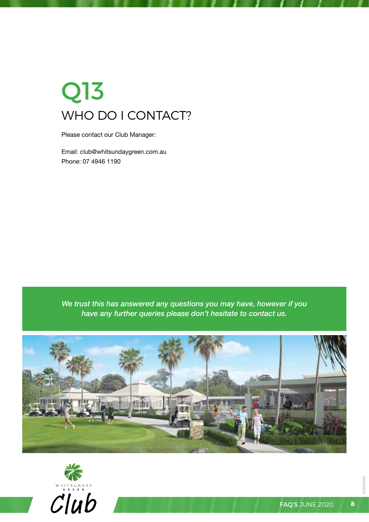### Q13 WHO DO I CONTACT?

Please contact our Club Manager:

Email: club@whitsundaygreen.com.au Phone: 07 4946 1190

*We trust this has answered any questions you may have, however if you have any further queries please don't hesitate to contact us.*







SLM#4263

SLM#4263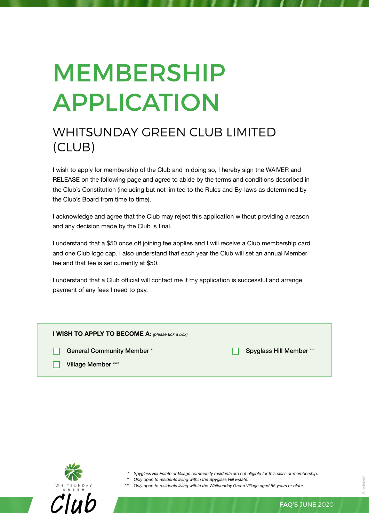# **MEMBERSHIP APPLICATION**

### Whitsunday Green Club Limited (Club)

I wish to apply for membership of the Club and in doing so, I hereby sign the WAIVER and RELEASE on the following page and agree to abide by the terms and conditions described in the Club's Constitution (including but not limited to the Rules and By-laws as determined by the Club's Board from time to time).

I acknowledge and agree that the Club may reject this application without providing a reason and any decision made by the Club is final.

I understand that a \$50 once off joining fee applies and I will receive a Club membership card and one Club logo cap. I also understand that each year the Club will set an annual Member fee and that fee is set currently at \$50.

I understand that a Club official will contact me if my application is successful and arrange payment of any fees I need to pay.

| <b>I WISH TO APPLY TO BECOME A:</b> (please tick a box) |                        |
|---------------------------------------------------------|------------------------|
| <b>General Community Member*</b>                        | Spyglass Hill Member** |
| Village Member ***                                      |                        |



- *\* Spyglass Hill Estate or Village community residents are not eligible for this class or membership.*
- *\*\* Only open to residents living within the Spyglass Hill Estate.*

*\*\*\* Only open to residents living within the Whitsunday Green Village aged 55 years or older.*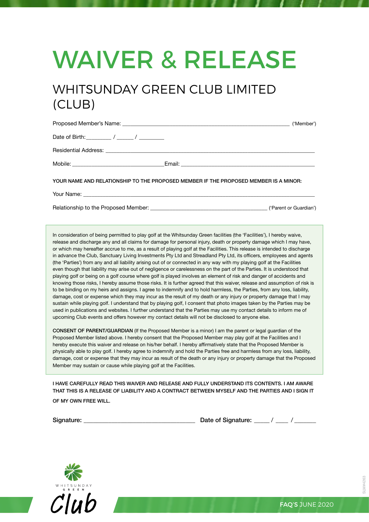# WAIVER & RELEASE

### Whitsunday Green Club Limited (Club)

|                                                                                      |  | ('Member') |
|--------------------------------------------------------------------------------------|--|------------|
|                                                                                      |  |            |
|                                                                                      |  |            |
|                                                                                      |  |            |
| YOUR NAME AND RELATIONSHIP TO THE PROPOSED MEMBER IF THE PROPOSED MEMBER IS A MINOR: |  |            |

Your Name: \_\_\_\_\_\_\_\_\_\_\_\_\_\_\_\_\_\_\_\_\_\_\_\_\_\_\_\_\_\_\_\_\_\_\_\_\_\_\_\_\_\_\_\_\_\_\_\_\_\_\_\_\_\_\_\_\_\_\_\_\_\_\_\_\_\_\_\_\_\_\_\_\_\_\_\_\_\_\_\_\_\_\_

Relationship to the Proposed Member: example and the state of the state of Guardian')

In consideration of being permitted to play golf at the Whitsunday Green facilities (the 'Facilities'), I hereby waive, release and discharge any and all claims for damage for personal injury, death or property damage which I may have, or which may hereafter accrue to me, as a result of playing golf at the Facilities. This release is intended to discharge in advance the Club, Sanctuary Living Investments Pty Ltd and Streadland Pty Ltd, its officers, employees and agents (the 'Parties') from any and all liability arising out of or connected in any way with my playing golf at the Facilities even though that liability may arise out of negligence or carelessness on the part of the Parties. It is understood that playing golf or being on a golf course where golf is played involves an element of risk and danger of accidents and knowing those risks, I hereby assume those risks. It is further agreed that this waiver, release and assumption of risk is to be binding on my heirs and assigns. I agree to indemnify and to hold harmless, the Parties, from any loss, liability, damage, cost or expense which they may incur as the result of my death or any injury or property damage that I may sustain while playing golf. I understand that by playing golf, I consent that photo images taken by the Parties may be used in publications and websites. I further understand that the Parties may use my contact details to inform me of upcoming Club events and offers however my contact details will not be disclosed to anyone else.

CONSENT OF PARENT/GUARDIAN (If the Proposed Member is a minor) I am the parent or legal guardian of the Proposed Member listed above. I hereby consent that the Proposed Member may play golf at the Facilities and I hereby execute this waiver and release on his/her behalf. I hereby affirmatively state that the Proposed Member is physically able to play golf. I hereby agree to indemnify and hold the Parties free and harmless from any loss, liability, damage, cost or expense that they may incur as result of the death or any injury or property damage that the Proposed Member may sustain or cause while playing golf at the Facilities.

I HAVE CAREFULLY READ THIS WAIVER AND RELEASE AND FULLY UNDERSTAND ITS CONTENTS. I AM AWARE THAT THIS IS A RELEASE OF LIABILITY AND A CONTRACT BETWEEN MYSELF AND THE PARTIES AND I SIGN IT OF MY OWN FREE WILL.

Signature:  $\frac{1}{2}$  Date of Signature:  $\frac{1}{2}$  / $\frac{1}{2}$